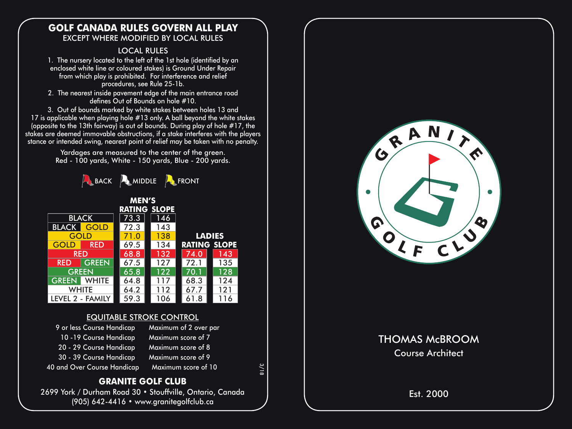#### **GOLF CANADA RULES GOVERN ALL PLAY** EXCEPT WHERE MODIFIED BY LOCAL RULES

#### LOCAL RULES

1. The nursery located to the left of the 1st hole (identified by an enclosed white line or coloured stakes) is Ground Under Repair from which play is prohibited. For interference and relief procedures, see Rule 25-1b.

2. The nearest inside pavement edge of the main entrance road defines Out of Bounds on hole #10.

3. Out of bounds marked by white stakes between holes 13 and 17 is applicable when playing hole #13 only. A ball beyond the white stakes (opposite to the 13th fairway) is out of bounds. During play of hole  $#17$ , the stakes are deemed immovable obstructions, if a stake interferes with the players stance or intended swing, nearest point of relief may be taken with no penalty.

> Yardages are measured to the center of the green. Red - 100 yards, White - 150 yards, Blue - 200 yards.



| <b>MEN'S</b>        |              |                     |     |               |     |  |  |  |  |  |  |  |  |
|---------------------|--------------|---------------------|-----|---------------|-----|--|--|--|--|--|--|--|--|
| <b>RATING SLOPE</b> |              |                     |     |               |     |  |  |  |  |  |  |  |  |
|                     | <b>BLACK</b> | 73.3                | 146 |               |     |  |  |  |  |  |  |  |  |
| <b>BLACK</b>        | GOLD         | 72.3                | 143 |               |     |  |  |  |  |  |  |  |  |
| GOLD                |              | 71.0                | 138 | <b>LADIES</b> |     |  |  |  |  |  |  |  |  |
| GOLE                | <b>RED</b>   | <b>RATING SLOPE</b> |     |               |     |  |  |  |  |  |  |  |  |
| <b>RED</b>          |              | 68.8                | 132 | 74.0          | 143 |  |  |  |  |  |  |  |  |
| <b>RED</b>          | <b>GREEN</b> | 67.5                | 127 | 72.1          | 135 |  |  |  |  |  |  |  |  |
| <b>GREEN</b>        |              | 65.8                | 122 | 70.1          | 128 |  |  |  |  |  |  |  |  |
| <b>GREEN</b>        | <b>WHITE</b> | 64.8                | 117 | 68.3          | 124 |  |  |  |  |  |  |  |  |
|                     | <b>WHITE</b> | 64.2                | 112 | 67.7          | 121 |  |  |  |  |  |  |  |  |
| LEVEL 2 - FAMILY    |              | 59.3                | 106 | 61.8          | 16  |  |  |  |  |  |  |  |  |

## EQUITABLE STROKE CONTROL

| 9 or less Course Handicap   | Maximum of 2 over par |
|-----------------------------|-----------------------|
| 10-19 Course Handicap       | Maximum score of 7    |
| 20 - 29 Course Handicap     | Maximum score of 8    |
| 30 - 39 Course Handicap     | Maximum score of 9    |
| 40 and Over Course Handicap | Maximum score of 10   |

3/18

## **GRANITE GOLF CLUB**

2699 York / Durham Road 30 • Stouffville, Ontario, Canada (905) 642-4416 • www.granitegolfclub.ca



# THOMAS McBROOM Course Architect

## Est. 2000